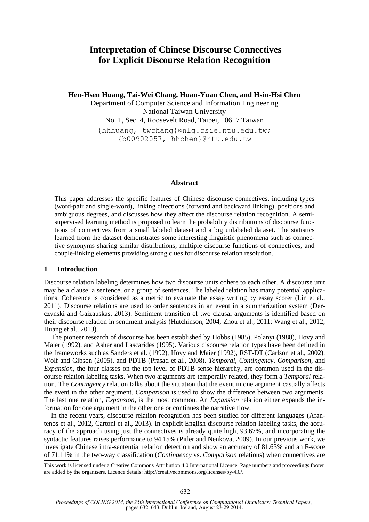# **Interpretation of Chinese Discourse Connectives for Explicit Discourse Relation Recognition**

**Hen-Hsen Huang, Tai-Wei Chang, Huan-Yuan Chen, and Hsin-Hsi Chen**

Department of Computer Science and Information Engineering National Taiwan University No. 1, Sec. 4, Roosevelt Road, Taipei, 10617 Taiwan

{hhhuang, twchang}@nlg.csie.ntu.edu.tw; {b00902057, hhchen}@ntu.edu.tw

#### **Abstract**

This paper addresses the specific features of Chinese discourse connectives, including types (word-pair and single-word), linking directions (forward and backward linking), positions and ambiguous degrees, and discusses how they affect the discourse relation recognition. A semisupervised learning method is proposed to learn the probability distributions of discourse functions of connectives from a small labeled dataset and a big unlabeled dataset. The statistics learned from the dataset demonstrates some interesting linguistic phenomena such as connective synonyms sharing similar distributions, multiple discourse functions of connectives, and couple-linking elements providing strong clues for discourse relation resolution.

## **1 Introduction**

Discourse relation labeling determines how two discourse units cohere to each other. A discourse unit may be a clause, a sentence, or a group of sentences. The labeled relation has many potential applications. Coherence is considered as a metric to evaluate the essay writing by essay scorer (Lin et al., 2011). Discourse relations are used to order sentences in an event in a summarization system (Derczynski and Gaizauskas, 2013). Sentiment transition of two clausal arguments is identified based on their discourse relation in sentiment analysis (Hutchinson, 2004; Zhou et al., 2011; Wang et al., 2012; Huang et al., 2013).

The pioneer research of discourse has been established by Hobbs (1985), Polanyi (1988), Hovy and Maier (1992), and Asher and Lascarides (1995). Various discourse relation types have been defined in the frameworks such as Sanders et al. (1992), Hovy and Maier (1992), RST-DT (Carlson et al., 2002), Wolf and Gibson (2005), and PDTB (Prasad et al., 2008). *Temporal*, *Contingency*, *Comparison*, and *Expansion*, the four classes on the top level of PDTB sense hierarchy, are common used in the discourse relation labeling tasks. When two arguments are temporally related, they form a *Temporal* relation. The *Contingency* relation talks about the situation that the event in one argument casually affects the event in the other argument. *Comparison* is used to show the difference between two arguments. The last one relation, *Expansion*, is the most common. An *Expansion* relation either expands the information for one argument in the other one or continues the narrative flow.

In the recent years, discourse relation recognition has been studied for different languages (Afantenos et al., 2012, Cartoni et al., 2013). In explicit English discourse relation labeling tasks, the accuracy of the approach using just the connectives is already quite high, 93.67%, and incorporating the syntactic features raises performance to 94.15% (Pitler and Nenkova, 2009). In our previous work, we investigate Chinese intra-sentential relation detection and show an accuracy of 81.63% and an F-score of 71.11% in the two-way classification (*Contingency* vs. *Comparison* relations) when connectives are

This work is licensed under a Creative Commons Attribution 4.0 International Licence. Page numbers and proceedings footer are added by the organisers. Licence details: http://creativecommons.org/licenses/by/4.0/.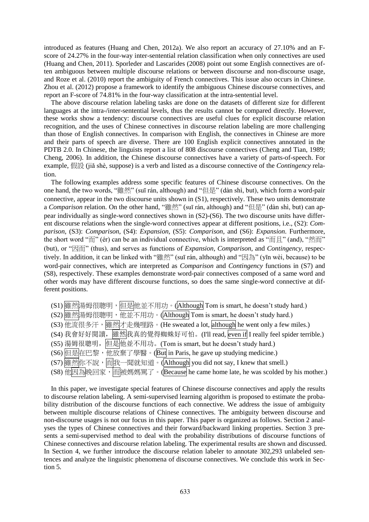introduced as features (Huang and Chen, 2012a). We also report an accuracy of 27.10% and an Fscore of 24.27% in the four-way inter-sentential relation classification when only connectives are used (Huang and Chen, 2011). Sporleder and Lascarides (2008) point out some English connectives are often ambiguous between multiple discourse relations or between discourse and non-discourse usage, and Roze et al. (2010) report the ambiguity of French connectives. This issue also occurs in Chinese. Zhou et al. (2012) propose a framework to identify the ambiguous Chinese discourse connectives, and report an F-score of 74.81% in the four-way classification at the intra-sentential level.

The above discourse relation labeling tasks are done on the datasets of different size for different languages at the intra-/inter-sentential levels, thus the results cannot be compared directly. However, these works show a tendency: discourse connectives are useful clues for explicit discourse relation recognition, and the uses of Chinese connectives in discourse relation labeling are more challenging than those of English connectives. In comparison with English, the connectives in Chinese are more and their parts of speech are diverse. There are 100 English explicit connectives annotated in the PDTB 2.0. In Chinese, the linguists report a list of 808 discourse connectives (Cheng and Tian, 1989; Cheng, 2006). In addition, the Chinese discourse connectives have a variety of parts-of-speech. For example, 假設 (jiǎ shè, suppose) is a verb and listed as a discourse connective of the *Contingency* relation.

The following examples address some specific features of Chinese discourse connectives. On the one hand, the two words, "雖然" (suī rán, although) and "但是" (dàn shì, but), which form a word-pair connective, appear in the two discourse units shown in (S1), respectively. These two units demonstrate a *Comparison* relation. On the other hand, "雖然" (suī rán, although) and "但是" (dàn shì, but) can appear individually as single-word connectives shown in (S2)-(S6). The two discourse units have different discourse relations when the single-word connectives appear at different positions, i.e., (S2): *Comparison*, (S3): *Comparison*, (S4): *Expansion*, (S5): *Comparison*, and (S6): *Expansion*. Furthermore, the short word "而" (ér) can be an individual connective, which is interpreted as "而且" (and), "然而" (but), or "因而" (thus), and serves as functions of *Expansion*, *Comparison*, and *Contingency*, respectively. In addition, it can be linked with "雖然" (suī rán, although) and "因為" (yīn wèi, because) to be word-pair connectives, which are interpreted as *Comparison* and *Contingency* functions in (S7) and (S8), respectively. These examples demonstrate word-pair connectives composed of a same word and other words may have different discourse functions, so does the same single-word connective at different positions.

- (S1) 雖然湯姆很聰明,但是他並不用功。(Although Tom is smart, he doesn't study hard.)
- (S2) 雖然易姆很聰明, 他並不用功。(Although Tom is smart, he doesn't study hard.)
- (S3) 他流很多汗, <u>雕然</u>才走幾哩路。(He sweated a lot, although he went only a few miles.)
- (S4) 我會好好閱讀, 雖然我真的覺得蜘蛛好可怕。(I'll read, even if I really feel spider terrible.)
- (S5) 湯姆很聰明, 但是他並不用功。(Tom is smart, but he doesn't study hard.)
- (S6) 但是在巴黎, 他放棄了學醫。(But in Paris, he gave up studying medicine.)
- (S7) 雖然你不說,而俄一聞就知道。(|Although| you did not say, I knew that smell.)
- (S8) 他因為晚回家,而被媽媽罵了。(Because| he came home late, he was scolded by his mother.)

In this paper, we investigate special features of Chinese discourse connectives and apply the results to discourse relation labeling. A semi-supervised learning algorithm is proposed to estimate the probability distribution of the discourse functions of each connective. We address the issue of ambiguity between multiple discourse relations of Chinese connectives. The ambiguity between discourse and non-discourse usages is not our focus in this paper. This paper is organized as follows. Section 2 analyses the types of Chinese connectives and their forward/backward linking properties. Section 3 presents a semi-supervised method to deal with the probability distributions of discourse functions of Chinese connectives and discourse relation labeling. The experimental results are shown and discussed. In Section 4, we further introduce the discourse relation labeler to annotate 302,293 unlabeled sentences and analyze the linguistic phenomena of discourse connectives. We conclude this work in Section 5.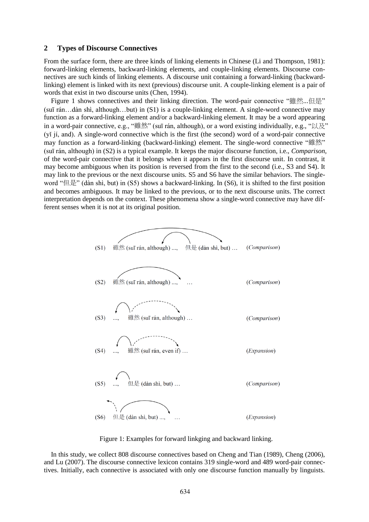#### **2 Types of Discourse Connectives**

From the surface form, there are three kinds of linking elements in Chinese (Li and Thompson, 1981): forward-linking elements, backward-linking elements, and couple-linking elements. Discourse connectives are such kinds of linking elements. A discourse unit containing a forward-linking (backwardlinking) element is linked with its next (previous) discourse unit. A couple-linking element is a pair of words that exist in two discourse units (Chen, 1994).

Figure 1 shows connectives and their linking direction. The word-pair connective "雖然...但是" (suī rán…dàn shì, although…but) in (S1) is a couple-linking element. A single-word connective may function as a forward-linking element and/or a backward-linking element. It may be a word appearing in a word-pair connective, e.g., "雖然" (suī rán, although), or a word existing individually, e.g., "以及" (yǐ jí, and). A single-word connective which is the first (the second) word of a word-pair connective may function as a forward-linking (backward-linking) element. The single-word connective "雖然" (suī rán, although) in (S2) is a typical example. It keeps the major discourse function, i.e., *Comparison*, of the word-pair connective that it belongs when it appears in the first discourse unit. In contrast, it may become ambiguous when its position is reversed from the first to the second (i.e., S3 and S4). It may link to the previous or the next discourse units. S5 and S6 have the similar behaviors. The singleword "但是" (dàn shì, but) in (S5) shows a backward-linking. In (S6), it is shifted to the first position and becomes ambiguous. It may be linked to the previous, or to the next discourse units. The correct interpretation depends on the context. These phenomena show a single-word connective may have different senses when it is not at its original position.



Figure 1: Examples for forward linkging and backward linking.

In this study, we collect 808 discourse connectives based on Cheng and Tian (1989), Cheng (2006), and Lu (2007). The discourse connective lexicon contains 319 single-word and 489 word-pair connectives. Initially, each connective is associated with only one discourse function manually by linguists.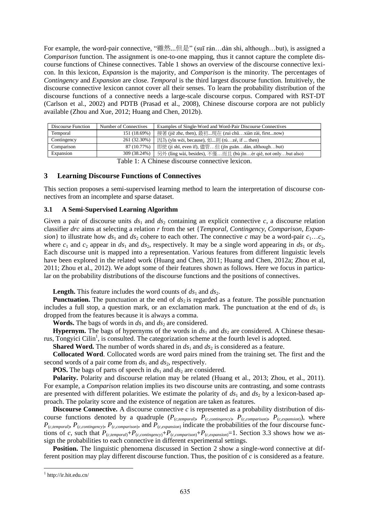For example, the word-pair connective, "雖然...但是" (suī rán…dàn shì, although…but), is assigned a *Comparison* function. The assignment is one-to-one mapping, thus it cannot capture the complete discourse functions of Chinese connectives. Table 1 shows an overview of the discourse connective lexicon. In this lexicon, *Expansion* is the majority, and *Comparison* is the minority. The percentages of *Contingency* and *Expansion* are close. *Temporal* is the third largest discourse function. Intuitively, the discourse connective lexicon cannot cover all their senses. To learn the probability distribution of the discourse functions of a connective needs a large-scale discourse corpus. Compared with RST-DT (Carlson et al., 2002) and PDTB (Prasad et al., 2008), Chinese discourse corpora are not publicly available (Zhou and Xue, 2012; Huang and Chen, 2012b).

| Discourse Function | Number of Connectives | Examples of Single-Word and Word-Pair Discourse Connectives   |
|--------------------|-----------------------|---------------------------------------------------------------|
| Temporal           | 151 (18.69%)          | 接著 (jiē zhe, then), 最初現在 (zuì chūxiàn zài, firstnow)          |
| Contingency        | 261 (32.30%)          | 因為 (yīn wèi, because), 如則 (rúzé, if  then)                    |
| Comparison         | 87 (10.77%)           | 即使 (jí shǐ, even if), 儘管但 (jǐn guǎndàn, althoughbut)          |
| Expansion          | 309 (38.24%)          | 另外 (ling wài, besides), 不僅而且 (bù jǐnér qiě, not onlybut also) |

Table 1: A Chinese discourse connective lexicon.

#### **3 Learning Discourse Functions of Connectives**

This section proposes a semi-supervised learning method to learn the interpretation of discourse connectives from an incomplete and sparse dataset.

#### **3.1 A Semi-Supervised Learning Algorithm**

Given a pair of discourse units  $ds_1$  and  $ds_2$  containing an explicit connective *c*, a discourse relation classifier *drc* aims at selecting a relation *r* from the set {*Temporal*, *Contingency*, *Comparison*, *Expansion*} to illustrate how  $ds_1$  and  $ds_2$  cohere to each other. The connective *c* may be a word-pair  $c_1...c_2$ , where  $c_1$  and  $c_2$  appear in  $ds_1$  and  $ds_2$ , respectively. It may be a single word appearing in  $ds_1$  or  $ds_2$ . Each discourse unit is mapped into a representation. Various features from different linguistic levels have been explored in the related work (Huang and Chen, 2011; Huang and Chen, 2012a; Zhou et al, 2011; Zhou et al., 2012). We adopt some of their features shown as follows. Here we focus in particular on the probability distributions of the discourse functions and the positions of connectives.

**Length.** This feature includes the word counts of  $ds_1$  and  $ds_2$ .

**Punctuation.** The punctuation at the end of  $ds_2$  is regarded as a feature. The possible punctuation includes a full stop, a question mark, or an exclamation mark. The punctuation at the end of  $ds_1$  is dropped from the features because it is always a comma.

**Words.** The bags of words in  $ds_1$  and  $ds_2$  are considered.

**Hypernym.** The bags of hypernyms of the words in  $ds_1$  and  $ds_2$  are considered. A Chinese thesaurus, Tongyici Cilin<sup>1</sup>, is consulted. The categorization scheme at the fourth level is adopted.

**Shared Word.** The number of words shared in  $ds_1$  and  $ds_2$  is considered as a feature.

**Collocated Word**. Collocated words are word pairs mined from the training set. The first and the second words of a pair come from *ds*<sup>1</sup> and *ds*2, respectively.

**POS.** The bags of parts of speech in  $ds_1$  and  $ds_2$  are considered.

**Polarity.** Polarity and discourse relation may be related (Huang et al., 2013; Zhou, et al., 2011). For example, a *Comparison* relation implies its two discourse units are contrasting, and some contrasts are presented with different polarities. We estimate the polarity of  $ds_1$  and  $ds_2$  by a lexicon-based approach. The polarity score and the existence of negation are taken as features.

**Discourse Connective.** A discourse connective *c* is represented as a probability distribution of discourse functions denoted by a quadruple  $(P_{(c,temporal)}$ ,  $P_{(c,contingency)}$ ,  $P_{(c,comparison)}$ ,  $P_{(c,expansion)}$ , where  $P_{(c,temporal)}$ ,  $P_{(c,contingency)}$ ,  $P_{(c,compansion)}$ , and  $P_{(c,expansion)}$  indicate the probabilities of the four discourse functions of *c*, such that  $P_{(c,temporal)} + P_{(c,contingency)} + P_{(c,comparrison)} + P_{(c,expansion)} = 1$ . Section 3.3 shows how we assign the probabilities to each connective in different experimental settings.

**Position.** The linguistic phenomena discussed in Section 2 show a single-word connective at different position may play different discourse function. Thus, the position of *c* is considered as a feature.

<sup>1</sup> http://ir.hit.edu.cn/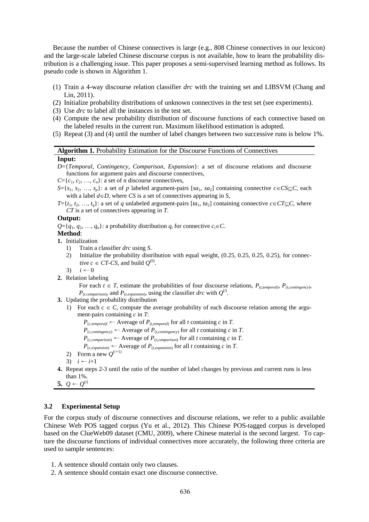Because the number of Chinese connectives is large (e.g., 808 Chinese connectives in our lexicon) and the large-scale labeled Chinese discourse corpus is not available, how to learn the probability distribution is a challenging issue. This paper proposes a semi-supervised learning method as follows. Its pseudo code is shown in Algorithm 1.

- (1) Train a 4-way discourse relation classifier *drc* with the training set and LIBSVM (Chang and Lin, 2011).
- (2) Initialize probability distributions of unknown connectives in the test set (see experiments).
- (3) Use *drc* to label all the instances in the test set.
- (4) Compute the new probability distribution of discourse functions of each connective based on the labeled results in the current run. Maximum likelihood estimation is adopted.
- (5) Repeat (3) and (4) until the number of label changes between two successive runs is below 1%.

#### **Algorithm 1.** Probability Estimation for the Discourse Functions of Connectives

#### **Input:**

- *D*={*Temporal*, *Contingency*, *Comparison*, *Expansion*}: a set of discourse relations and discourse functions for argument pairs and discourse connectives,
- $C = \{c_1, c_2, \ldots, c_n\}$ : a set of *n* discourse connectives,
- $S = \{s_1, s_2, \ldots, s_p\}$ : a set of *p* labeled argument-pairs  $[sa_1, sa_2]$  containing connective  $c \in CS \subseteq C$ , each with a label  $d \in D$ , where *CS* is a set of connectives appearing in *S*,
- $T = \{t_1, t_2, \ldots, t_q\}$ : a set of *q* unlabeled argument-pairs  $[t_1, t_2]$  containing connective  $c \in CT \subseteq C$ , where *CT* is a set of connectives appearing in *T*.

#### **Output:**

 $Q = \{q_1, q_2, \ldots, q_n\}$ : a probability distribution  $q_i$  for connective  $c_i \in C$ .

- **Method**:
- **1.** Initialization
	- 1) Train a classifier *drc* using *S*.
	- 2) Initialize the probability distribution with equal weight, (0.25, 0.25, 0.25, 0.25), for connective  $c \in CT$ -*CS*, and build  $Q^{(0)}$ .
	- 3)  $i \leftarrow 0$
- **2.** Relation labeling

For each  $t \in T$ , estimate the probabilities of four discourse relations,  $P_{(t, temporal)}$ ,  $P_{(t, confingency)}$ ,  $P_{(t.\text{comparison})}$ , and  $P_{(t.\text{expansion})}$ , using the classifier *drc* with  $Q^{(i)}$ .

- **3.** Updating the probability distribution
	- 1) For each  $c \in C$ , compute the average probability of each discourse relation among the argument-pairs containing *c* in *T*:

 $P_{(c,temporal)} \leftarrow$  Average of  $P_{(t,temporal)}$  for all *t* containing *c* in *T*.

- $P_{(c,contingency)} \leftarrow$  Average of  $P_{(t,contingency)}$  for all *t* containing *c* in *T*.
- $P_{(c, comparison)} \leftarrow$  Average of  $P_{(t,comparison)}$  for all *t* containing *c* in *T*.
- $P_{(c,expanion)} \leftarrow$  Average of  $P_{(t,expanion)}$  for all *t* containing *c* in *T*.
- 2) Form a new  $Q^{(i+1)}$
- 3)  $i \leftarrow i+1$
- **4.** Repeat steps 2-3 until the ratio of the number of label changes by previous and current runs is less than 1%.
- **5.**  $Q$  ←  $Q$ <sup>(i)</sup>

## **3.2 Experimental Setup**

For the corpus study of discourse connectives and discourse relations, we refer to a public available Chinese Web POS tagged corpus (Yu et al., 2012). This Chinese POS-tagged corpus is developed based on the ClueWeb09 dataset (CMU, 2009), where Chinese material is the second largest. To capture the discourse functions of individual connectives more accurately, the following three criteria are used to sample sentences:

- 1. A sentence should contain only two clauses.
- 2. A sentence should contain exact one discourse connective.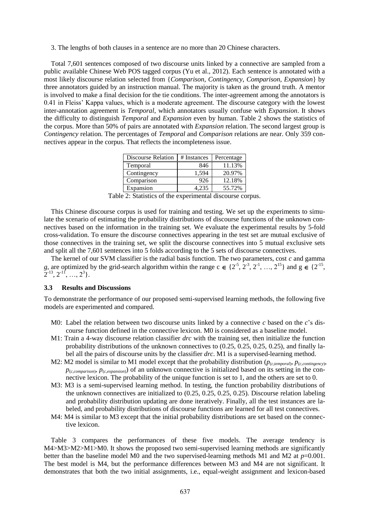3. The lengths of both clauses in a sentence are no more than 20 Chinese characters.

Total 7,601 sentences composed of two discourse units linked by a connective are sampled from a public available Chinese Web POS tagged corpus (Yu et al., 2012). Each sentence is annotated with a most likely discourse relation selected from {*Comparison*, *Contingency*, *Comparison*, *Expansion*} by three annotators guided by an instruction manual. The majority is taken as the ground truth. A mentor is involved to make a final decision for the tie conditions. The inter-agreement among the annotators is 0.41 in Fleiss' Kappa values, which is a moderate agreement. The discourse category with the lowest inter-annotation agreement is *Temporal*, which annotators usually confuse with *Expansion*. It shows the difficulty to distinguish *Temporal* and *Expansion* even by human. Table 2 shows the statistics of the corpus. More than 50% of pairs are annotated with *Expansion* relation. The second largest group is *Contingency* relation. The percentages of *Temporal* and *Comparison* relations are near. Only 359 connectives appear in the corpus. That reflects the incompleteness issue.

| Discourse Relation | # Instances | Percentage |
|--------------------|-------------|------------|
| Temporal           | 846         | 11.13%     |
| Contingency        | 1.594       | 20.97%     |
| Comparison         | 926         | 12.18%     |
| Expansion          | 4.235       | 55.72%     |

Table 2: Statistics of the experimental discourse corpus.

This Chinese discourse corpus is used for training and testing. We set up the experiments to simulate the scenario of estimating the probability distributions of discourse functions of the unknown connectives based on the information in the training set. We evaluate the experimental results by 5-fold cross-validation. To ensure the discourse connectives appearing in the test set are mutual exclusive of those connectives in the training set, we split the discourse connectives into 5 mutual exclusive sets and split all the 7,601 sentences into 5 folds according to the 5 sets of discourse connectives.

The kernel of our SVM classifier is the radial basis function. The two parameters, cost *c* and gamma g, are optimized by the grid-search algorithm within the range  $c \in \{2^{-5}, 2^{-3}, 2^{-1}, ..., 2^{15}\}$  and  $g \in \{2^{-15}, \dots, 2^{15}\}$  $[2^{-13}, 2^{-11}, \ldots, 2^3].$ 

#### **3.3 Results and Discussions**

To demonstrate the performance of our proposed semi-supervised learning methods, the following five models are experimented and compared.

- M0: Label the relation between two discourse units linked by a connective *c* based on the *c*'s discourse function defined in the connective lexicon. M0 is considered as a baseline model.
- M1: Train a 4-way discourse relation classifier *drc* with the training set, then initialize the function probability distributions of the unknown connectives to (0.25, 0.25, 0.25, 0.25), and finally label all the pairs of discourse units by the classifier *drc*. M1 is a supervised-learning method.
- M2: M2 model is similar to M1 model except that the probability distribution ( $p_{(c, temporal)}$ ,  $p_{(c, confingency)}$ ,  $p_{(c,comparison)}$ ,  $p_{(c,expansion)}$  of an unknown connective is initialized based on its setting in the connective lexicon. The probability of the unique function is set to 1, and the others are set to 0.
- M3: M3 is a semi-supervised learning method. In testing, the function probability distributions of the unknown connectives are initialized to (0.25, 0.25, 0.25, 0.25). Discourse relation labeling and probability distribution updating are done iteratively. Finally, all the test instances are labeled, and probability distributions of discourse functions are learned for all test connectives.
- M4: M4 is similar to M3 except that the initial probability distributions are set based on the connective lexicon.

Table 3 compares the performances of these five models. The average tendency is M4>M3>M2>M1>M0. It shows the proposed two semi-supervised learning methods are significantly better than the baseline model M0 and the two supervised-learning methods M1 and M2 at *p*=0.001. The best model is M4, but the performance differences between M3 and M4 are not significant. It demonstrates that both the two initial assignments, i.e., equal-weight assignment and lexicon-based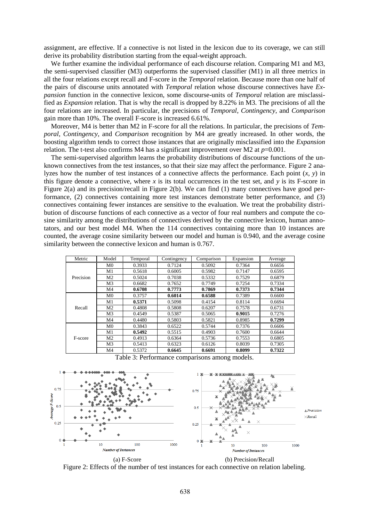assignment, are effective. If a connective is not listed in the lexicon due to its coverage, we can still derive its probability distribution starting from the equal-weight approach.

We further examine the individual performance of each discourse relation. Comparing M1 and M3, the semi-supervised classifier (M3) outperforms the supervised classifier (M1) in all three metrics in all the four relations except recall and F-score in the *Temporal* relation. Because more than one half of the pairs of discourse units annotated with *Temporal* relation whose discourse connectives have *Expansion* function in the connective lexicon, some discourse-units of *Temporal* relation are misclassified as *Expansion* relation. That is why the recall is dropped by 8.22% in M3. The precisions of all the four relations are increased. In particular, the precisions of *Temporal*, *Contingency*, and *Comparison* gain more than 10%. The overall F-score is increased 6.61%.

Moreover, M4 is better than M2 in F-score for all the relations. In particular, the precisions of *Temporal*, *Contingency*, and *Comparison* recognition by M4 are greatly increased. In other words, the boosting algorithm tends to correct those instances that are originally misclassified into the *Expansion* relation. The t-test also confirms M4 has a significant improvement over M2 at *p*=0.001.

The semi-supervised algorithm learns the probability distributions of discourse functions of the unknown connectives from the test instances, so that their size may affect the performance. Figure 2 analyzes how the number of test instances of a connective affects the performance. Each point (*x*, *y*) in this figure denote a connective, where  $x$  is its total occurrences in the test set, and  $y$  is its F-score in Figure 2(a) and its precision/recall in Figure 2(b). We can find (1) many connectives have good performance, (2) connectives containing more test instances demonstrate better performance, and (3) connectives containing fewer instances are sensitive to the evaluation. We treat the probability distribution of discourse functions of each connective as a vector of four real numbers and compute the cosine similarity among the distributions of connectives derived by the connective lexicon, human annotators, and our best model M4. When the 114 connectives containing more than 10 instances are counted, the average cosine similarity between our model and human is 0.940, and the average cosine similarity between the connective lexicon and human is 0.767.

| Metric    | Model          | Temporal | Contingency | Comparison | Expansion | Average |
|-----------|----------------|----------|-------------|------------|-----------|---------|
|           | M <sub>0</sub> | 0.3933   | 0.7124      | 0.5092     | 0.7364    | 0.6656  |
|           | M1             | 0.5618   | 0.6005      | 0.5982     | 0.7147    | 0.6595  |
| Precision | M <sub>2</sub> | 0.5024   | 0.7038      | 0.5332     | 0.7529    | 0.6879  |
|           | M <sub>3</sub> | 0.6682   | 0.7652      | 0.7749     | 0.7254    | 0.7334  |
|           | M4             | 0.6708   | 0.7773      | 0.7869     | 0.7373    | 0.7344  |
|           | M <sub>0</sub> | 0.3757   | 0.6014      | 0.6588     | 0.7389    | 0.6600  |
|           | M1             | 0.5371   | 0.5098      | 0.4154     | 0.8114    | 0.6694  |
| Recall    | M <sub>2</sub> | 0.4808   | 0.5808      | 0.6207     | 0.7578    | 0.6731  |
|           | M <sub>3</sub> | 0.4549   | 0.5387      | 0.5065     | 0.9015    | 0.7276  |
|           | M <sub>4</sub> | 0.4480   | 0.5803      | 0.5821     | 0.8985    | 0.7299  |
|           | M <sub>0</sub> | 0.3843   | 0.6522      | 0.5744     | 0.7376    | 0.6606  |
|           | M1             | 0.5492   | 0.5515      | 0.4903     | 0.7600    | 0.6644  |
| F-score   | M <sub>2</sub> | 0.4913   | 0.6364      | 0.5736     | 0.7553    | 0.6805  |
|           | M <sub>3</sub> | 0.5413   | 0.6323      | 0.6126     | 0.8039    | 0.7305  |
|           | M4             | 0.5372   | 0.6645      | 0.6691     | 0.8099    | 0.7322  |

Table 3: Performance comparisons among models.



Figure 2: Effects of the number of test instances for each connective on relation labeling.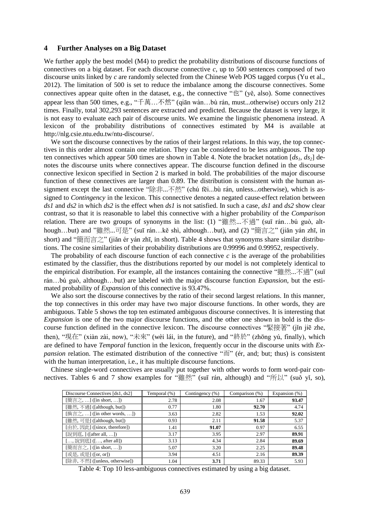#### **4 Further Analyses on a Big Dataset**

We further apply the best model (M4) to predict the probability distributions of discourse functions of connectives on a big dataset. For each discourse connective  $c$ , up to 500 sentences composed of two discourse units linked by *c* are randomly selected from the Chinese Web POS tagged corpus (Yu et al., 2012). The limitation of 500 is set to reduce the imbalance among the discourse connectives. Some connectives appear quite often in the dataset, e.g., the connective " $\mathcal{L}$ " (ye, also). Some connectives appear less than 500 times, e.g., "千萬…不然" (qiān wàn…bù rán, must...otherwise) occurs only 212 times. Finally, total 302,293 sentences are extracted and predicted. Because the dataset is very large, it is not easy to evaluate each pair of discourse units. We examine the linguistic phenomena instead. A lexicon of the probability distributions of connectives estimated by M4 is available at http://nlg.csie.ntu.edu.tw/ntu-discourse/.

We sort the discourse connectives by the ratios of their largest relations. In this way, the top connectives in this order almost contain one relation. They can be considered to be less ambiguous. The top ten connectives which appear 500 times are shown in Table 4. Note the bracket notation [*ds1*, *ds2*] denotes the discourse units where connectives appear. The discourse function defined in the discourse connective lexicon specified in Section 2 is marked in bold. The probabilities of the major discourse function of these connectives are larger than 0.89. The distribution is consistent with the human assignment except the last connective "除非...不然" (chú fēi...bù rán, unless...otherwise), which is assigned to *Contingency* in the lexicon. This connective denotes a negated cause-effect relation between *ds1* and *ds2* in which *ds2* is the effect when *ds1* is not satisfied. In such a case, *ds1* and *ds2* show clear contrast, so that it is reasonable to label this connective with a higher probability of the *Comparison* relation. There are two groups of synonyms in the list: (1) "雖然...不過" (suī rán...bú guò, although…but) and "雖然...可是" (suī rán…kě shì, although…but), and (2) "簡言之" (jiǎn yán zhī, in short) and "簡而言之" (jiǎn ér yán zhī, in short). Table 4 shows that synonyms share similar distributions. The cosine similarities of their probability distributions are 0.99996 and 0.99952, respectively.

The probability of each discourse function of each connective *c* is the average of the probabilities estimated by the classifier, thus the distributions reported by our model is not completely identical to the empirical distribution. For example, all the instances containing the connective "雖然...不過" (suī rán…bú guò, although…but) are labeled with the major discourse function *Expansion*, but the estimated probability of *Expansion* of this connective is 93.47%.

We also sort the discourse connectives by the ratio of their second largest relations. In this manner, the top connectives in this order may have two major discourse functions. In other words, they are ambiguous. Table 5 shows the top ten estimated ambiguous discourse connectives. It is interesting that *Expansion* is one of the two major discourse functions, and the other one shown in bold is the discourse function defined in the connective lexicon. The discourse connectives "緊接著" (jǐn jiē zhe, then), "現在" (xiàn zài, now), "未來" (wèi lái, in the future), and "終於" (zhōng yú, finally), which are defined to have *Temporal* function in the lexicon, frequently occur in the discourse units with *Expansion* relation. The estimated distribution of the connective "而" (ér, and; but; thus) is consistent with the human interpretation, i.e., it has multiple discourse functions.

Chinese single-word connectives are usually put together with other words to form word-pair connectives. Tables 6 and 7 show examples for "雖然" (suī rán, although) and "所以" (suǒ yǐ, so),

| Discourse Connectives [ds1, ds2] | Temporal (%) | Contingency (%) | Comparison (%) | Expansion (%) |
|----------------------------------|--------------|-----------------|----------------|---------------|
| [簡言之, ] ([in short, ])           | 2.78         | 2.08            | 1.67           | 93.47         |
| [雖然,不過] ([although, but])        | 0.77         | 1.80            | 92.70          | 4.74          |
| [換言之, ] ([in other words, ])     | 3.63         | 2.82            | 1.53           | 92.02         |
| [雖然, 可是] ([although, but])       | 0.93         | 2.11            | 91.58          | 5.37          |
| [由於, 因此] ([since, therefore])    | 1.41         | 91.07           | 0.97           | 6.55          |
| [說到底, ] ([after all, ])          | 3.17         | 3.95            | 2.97           | 89.91         |
| [, 說到底] ([, after all])          | 3.13         | 4.34            | 2.84           | 89.69         |
| [簡而言之, ] ([in short, ])          | 5.07         | 3.20            | 2.25           | 89.48         |
| [或是, 或是] ([or, or])              | 3.94         | 4.51            | 2.16           | 89.39         |
| [除非, 不然] ([unless, otherwise])   | 1.04         | 3.71            | 89.33          | 5.93          |

Table 4: Top 10 less-ambiguous connectives estimated by using a big dataset.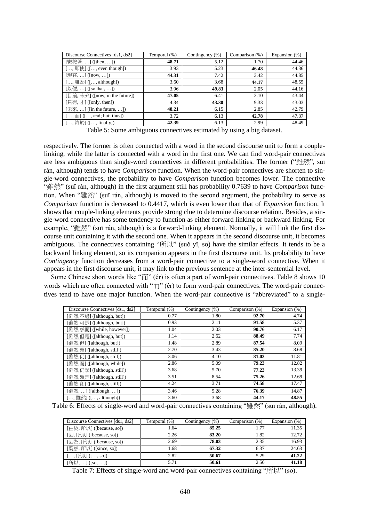| Discourse Connectives [ds1, ds2]                                  | Temporal (%) | Contingency (%) | Comparison (%) | Expansion $(\%)$ |
|-------------------------------------------------------------------|--------------|-----------------|----------------|------------------|
| [緊接著,] ([then, ])                                                 | 48.71        | 5.12            | 1.70           | 44.46            |
| [, 即使] ([, even though])                                          | 3.93         | 5.23            | 46.48          | 44.36            |
| [現在, ] ([now, ])                                                  | 44.31        | 7.42            | 3.42           | 44.85            |
| $[,\pmb{m}]\times[,\pmb{m}]$ ([, although])                       | 3.60         | 3.68            | 44.17          | 48.55            |
| [以便, ] ([so that, ])                                              | 3.96         | 49.83           | 2.05           | 44.16            |
| [目前,未來] ([now, in the future])                                    | 47.05        | 6.41            | 3.10           | 43.44            |
| [只有, 才] ([only, then])                                            | 4.34         | 43.30           | 9.33           | 43.03            |
| $[\n \overline{\text{R}}\mathcal{R}, \ldots]$ ([in the future, ]) | 48.21        | 6.15            | 2.85           | 42.79            |
| $[,\overline{\mathbb{m}}]$ ([, and; but; thus])                   | 3.72         | 6.13            | 42.78          | 47.37            |
| [, 終於] ([, finally])                                              | 42.39        | 6.13            | 2.99           | 48.49            |

Table 5: Some ambiguous connectives estimated by using a big dataset.

respectively. The former is often connected with a word in the second discourse unit to form a couplelinking, while the latter is connected with a word in the first one. We can find word-pair connectives are less ambiguous than single-word connectives in different probabilities. The former ("雖然", suī rán, although) tends to have *Comparison* function. When the word-pair connectives are shorten to single-word connectives, the probability to have *Comparison* function becomes lower. The connective "雖然" (suī rán, although) in the first argument still has probability 0.7639 to have *Comparison* function. When "雖然" (suī rán, although) is moved to the second argument, the probability to serve as *Comparison* function is decreased to 0.4417, which is even lower than that of *Expansion* function. It shows that couple-linking elements provide strong clue to determine discourse relation. Besides, a single-word connective has some tendency to function as either forward linking or backward linking. For example, "雖然" (suī rán, although) is a forward-linking element. Normally, it will link the first discourse unit containing it with the second one. When it appears in the second discourse unit, it becomes ambiguous. The connectives containing "所以" (suǒ yǐ, so) have the similar effects. It tends to be a backward linking element, so its companion appears in the first discourse unit. Its probability to have *Contingency* function decreases from a word-pair connective to a single-word connective. When it appears in the first discourse unit, it may link to the previous sentence at the inter-sentential level.

Some Chinese short words like "而" (ér) is often a part of word-pair connectives. Table 8 shows 10 words which are often connected with " $\overline{m}$ " (ér) to form word-pair connectives. The word-pair connectives tend to have one major function. When the word-pair connective is "abbreviated" to a single-

| Discourse Connectives [ds1, ds2]       | Temporal (%) | Contingency (%) | Comparison (%) | Expansion (%) |
|----------------------------------------|--------------|-----------------|----------------|---------------|
| [雖然,不過] ([although, but])              | 0.77         | 1.80            | 92.70          | 4.74          |
| [雖然,可是] ([although, but])              | 0.93         | 2.11            | 91.58          | 5.37          |
| [雖然,然而] ([while, however])             | 1.04         | 2.03            | 90.76          | 6.17          |
| [雖然,但是] ([although, but])              | 1.14         | 2.62            | 88.49          | 7.74          |
| [雖然,但] ([although, but])               | 1.48         | 2.89            | 87.54          | 8.09          |
| [雖然,還] ([although, still])             | 2.70         | 3.43            | 85.20          | 8.68          |
| [雖然,仍] ([although, still])             | 3.06         | 4.10            | 81.03          | 11.81         |
| [雖然,而] ([although, while])             | 2.86         | 5.09            | 79.23          | 12.82         |
| [雖然,仍然] ([although, still])            | 3.68         | 5.70            | 77.23          | 13.39         |
| [雖然,還是] ([although, still])            | 3.51         | 8.54            | 75.26          | 12.69         |
| [雖然,卻] ([although, still])             | 4.24         | 3.71            | 74.58          | 17.47         |
| $[\frac{4}{12}, \dots]$ ([although, ]) | 3.46         | 5.28            | 76.39          | 14.87         |
| [, 雖然] ([, although])                  | 3.60         | 3.68            | 44.17          | 48.55         |

Table 6: Effects of single-word and word-pair connectives containing "雖然" (suī rán, although).

| Discourse Connectives [ds1, ds2] | Temporal (%) | Contingency (%) | Comparison (%) | Expansion (%) |
|----------------------------------|--------------|-----------------|----------------|---------------|
| [由於, 所以] ([because, so])         | 1.64         | 85.25           | 1.77           | 11.35         |
| [因, 所以] ([because, so])          | 2.26         | 83.20           | 1.82           | 12.72         |
| [因為, 所以] ([because, so])         | 2.69         | 78.03           | 2.35           | 16.93         |
| [既然, 所以] ([since, so])           | 1.68         | 67.32           | 6.37           | 24.63         |
| [, 所以] ([, so])                  | 2.82         | 50.67           | 5.29           | 41.22         |
| [所以, ] ([so, ])                  | 5.71         | 50.61           | 2.50           | 41.18         |

Table 7: Effects of single-word and word-pair connectives containing "所以" (so).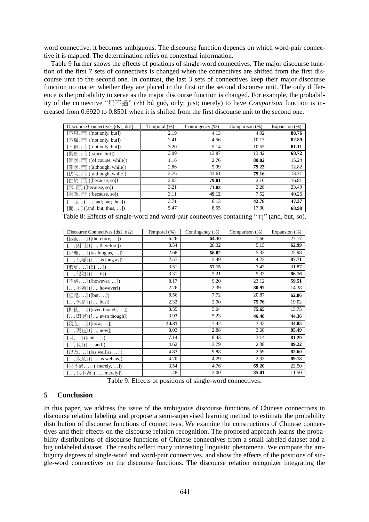word connective, it becomes ambiguous. The discourse function depends on which word-pair connective it is mapped. The determination relies on contextual information.

Table 9 further shows the effects of positions of single-word connectives. The major discourse function of the first 7 sets of connectives is changed when the connectives are shifted from the first discourse unit to the second one. In contrast, the last 3 sets of connectives keep their major discourse function no matter whether they are placed in the first or the second discourse unit. The only difference is the probability to serve as the major discourse function is changed. For example, the probability of the connective "只不過" (zhǐ bú guò, only; just; merely) to have *Comparison* function is increased from 0.6920 to 0.8501 when it is shifted from the first discourse unit to the second one.

| Discourse Connectives [ds1, ds2]                                         | Temporal (%) | Contingency (%) | Comparison (%) | Expansion (%) |
|--------------------------------------------------------------------------|--------------|-----------------|----------------|---------------|
| $[\overline{R}, \overline{R}]$ ([not only, but])                         | 2.19         | 4.13            | 4.92           | 88.76         |
| [不僅, 而] ([not only, but])                                                | 2.41         | 4.56            | 10.13          | 82.89         |
| [不但, 而] ([not only, but])                                                | 3.20         | 5.14            | 10.55          | 81.11         |
| [既然, 而] ([since, but])                                                   | 3.99         | 13.87           | 13.42          | 68.72         |
| [固然, 而] ([of course, while])                                             | 1.16         | 2.76            | 80.82          | 15.24         |
| [雖然, 而] ([although, while])                                              | 2.86         | 5.09            | 79.23          | 12.82         |
| [儘管, 而] ([although, while])                                              | 2.76         | 43.61           | 79.16          | 13.71         |
| [由於, 而] ([because, so])                                                  | 2.02         | 79.01           | 2.16           | 16.81         |
| [ $\boxtimes$ , $\overline{m}$ ] ([because, so])                         | 3.21         | 71.03           | 2.28           | 23.49         |
| [因為, 而] ([because, so])                                                  | 3.11         | 49.12           | 7.52           | 40.26         |
| $[,\overline{\mathbb{m}}]$ $([,\text{ and}; \text{ but}; \text{ thus}])$ | 3.71         | 6.13            | 42.78          | 47.37         |
| $[\overline{m}, \dots]$ ([and; but; thus, ])                             | 5.47         | 8.55            | 17.00          | 68.98         |

Table 8: Effects of single-word and word-pair connectives containing " $\overrightarrow{m}$ " (and, but, so).

| Discourse Connectives [ds1, ds2]                                                  | Temporal (%) | Contingency $(\% )$ | Comparison (%) | Expansion (%) |
|-----------------------------------------------------------------------------------|--------------|---------------------|----------------|---------------|
| $[\boxtimes \overline{\text{m}}, \ldots]$ ([therefore, ])                         | 6.26         | 64.30               | 1.66           | 27.77         |
| $[,\boxdot$ $\overline{\boxdot}$ $\overline{\boxdot}$ $($ $[,\text{therefore}]$ ) | 3.54         | 28.32               | 5.15           | 62.99         |
| $[7, 3, 0.0]$ ([as long as, ])                                                    | 2.68         | 66.02               | 5.33           | 25.98         |
| $[,\overline{R},\overline{R}]$ ([, as long as])                                   | 2.57         | 5.49                | 4.23           | 87.71         |
| [假如, ] ([if, ])                                                                   | 3.51         | 57.15               | 7.47           | 31.87         |
| [, 假如] ([, if])                                                                   | 3.31         | 5.21                | 5.33           | 86.16         |
| [不過, ] ([however, ])                                                              | 8.17         | 9.20                | 23.12          | 59.51         |
| [, 不過] ([, however])                                                              | 2.26         | 2.39                | 80.97          | 14.38         |
| [但是, ] ([but, ])                                                                  | 8.56         | 7.72                | 20.87          | 62.86         |
| [, 但是] ([, but])                                                                  | 2.32         | 2.90                | 75.76          | 19.02         |
| [即使, ] ([even though, ])                                                          | 3.55         | 5.04                | 75.65          | 15.75         |
| [, 即使] ([, even though])                                                          | 3.93         | 5.23                | 46.48          | 44.36         |
| [現在, ] ([now, ])                                                                  | 44.31        | 7.42                | 3.42           | 44.85         |
| [, 現在] ([, now])                                                                  | 8.03         | 2.88                | 3.60           | 85.49         |
| $[\n\mathbb{H}, \ldots]$ ([and, ])                                                | 7.14         | 8.43                | 3.14           | 81.29         |
| $[, \underline{H}]$ $([, and])$                                                   | 4.62         | 3.79                | 2.38           | 89.22         |
| $[\n\downarrow \exists \xi, \ldots]$ ([as well as, ])                             | 4.83         | 9.88                | 2.69           | 82.60         |
| [, 以及] ([, as well as])                                                           | 4.20         | 4.29                | 2.33           | 89.18         |
| [只不過, ] ([merely, ])                                                              | 3.54         | 4.76                | 69.20          | 22.50         |
| [, 只不過] ([, merely])                                                              | 1.48         | 2.00                | 85.01          | 11.50         |

Table 9: Effects of positions of single-word connectives.

# **5 Conclusion**

In this paper, we address the issue of the ambiguous discourse functions of Chinese connectives in discourse relation labeling and propose a semi-supervised learning method to estimate the probability distribution of discourse functions of connectives. We examine the constructions of Chinese connectives and their effects on the discourse relation recognition. The proposed approach learns the probability distributions of discourse functions of Chinese connectives from a small labeled dataset and a big unlabeled dataset. The results reflect many interesting linguistic phenomena. We compare the ambiguity degrees of single-word and word-pair connectives, and show the effects of the positions of single-word connectives on the discourse functions. The discourse relation recognizer integrating the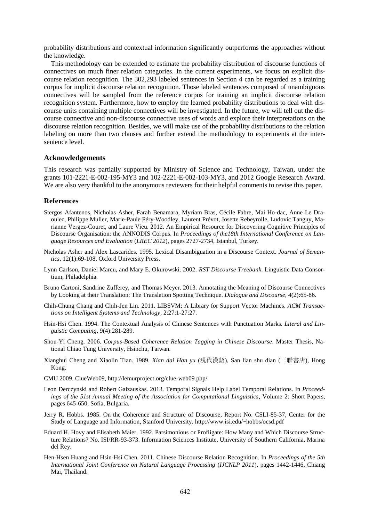probability distributions and contextual information significantly outperforms the approaches without the knowledge.

This methodology can be extended to estimate the probability distribution of discourse functions of connectives on much finer relation categories. In the current experiments, we focus on explicit discourse relation recognition. The 302,293 labeled sentences in Section 4 can be regarded as a training corpus for implicit discourse relation recognition. Those labeled sentences composed of unambiguous connectives will be sampled from the reference corpus for training an implicit discourse relation recognition system. Furthermore, how to employ the learned probability distributions to deal with discourse units containing multiple connectives will be investigated. In the future, we will tell out the discourse connective and non-discourse connective uses of words and explore their interpretations on the discourse relation recognition. Besides, we will make use of the probability distributions to the relation labeling on more than two clauses and further extend the methodology to experiments at the intersentence level.

#### **Acknowledgements**

This research was partially supported by Ministry of Science and Technology, Taiwan, under the grants 101-2221-E-002-195-MY3 and 102-2221-E-002-103-MY3, and 2012 Google Research Award. We are also very thankful to the anonymous reviewers for their helpful comments to revise this paper.

#### **References**

- Stergos Afantenos, Nicholas Asher, Farah Benamara, Myriam Bras, Cécile Fabre, Mai Ho-dac, Anne Le Draoulec, Philippe Muller, Marie-Paule Péry-Woodley, Laurent Prévot, Josette Rebeyrolle, Ludovic Tanguy, Marianne Vergez-Couret, and Laure Vieu. 2012. An Empirical Resource for Discovering Cognitive Principles of Discourse Organisation: the ANNODIS Corpus. In *Proceedings of the18th International Conference on Language Resources and Evaluation* (*LREC 2012*), pages 2727-2734, Istanbul, Turkey.
- Nicholas Asher and Alex Lascarides. 1995. Lexical Disambiguation in a Discourse Context. *Journal of Semantics*, 12(1):69-108, Oxford University Press.
- Lynn Carlson, Daniel Marcu, and Mary E. Okurowski. 2002. *RST Discourse Treebank*. Linguistic Data Consortium, Philadelphia.
- Bruno Cartoni, Sandrine Zufferey, and Thomas Meyer. 2013. Annotating the Meaning of Discourse Connectives by Looking at their Translation: The Translation Spotting Technique. *Dialogue and Discourse*, 4(2):65-86.
- Chih-Chung Chang and Chih-Jen Lin. 2011. LIBSVM: A Library for Support Vector Machines. *ACM Transactions on Intelligent Systems and Technology*, 2:27:1-27:27.
- Hsin-Hsi Chen. 1994. The Contextual Analysis of Chinese Sentences with Punctuation Marks. *Literal and Linguistic Computing*, 9(4):281-289.
- Shou-Yi Cheng. 2006. *Corpus-Based Coherence Relation Tagging in Chinese Discourse*. Master Thesis, National Chiao Tung University, Hsinchu, Taiwan.
- Xianghui Cheng and Xiaolin Tian. 1989. *Xian dai Han yu* (現代漢語), San lian shu dian (三聯書店), Hong Kong.
- CMU 2009. ClueWeb09, http://lemurproject.org/clue-web09.php/
- Leon Derczynski and Robert Gaizauskas. 2013. Temporal Signals Help Label Temporal Relations. In *Proceedings of the 51st Annual Meeting of the Association for Computational Linguistics*, Volume 2: Short Papers, pages 645-650, Sofia, Bulgaria.
- Jerry R. Hobbs. 1985. On the Coherence and Structure of Discourse, Report No. CSLI-85-37, Center for the Study of Language and Information, Stanford University. http://www.isi.edu/~hobbs/ocsd.pdf
- Eduard H. Hovy and Elisabeth Maier. 1992. Parsimonious or Profligate: How Many and Which Discourse Structure Relations? No. ISI/RR-93-373. Information Sciences Institute, University of Southern California, Marina del Rey.
- Hen-Hsen Huang and Hsin-Hsi Chen. 2011. Chinese Discourse Relation Recognition. In *Proceedings of the 5th International Joint Conference on Natural Language Processing* (*IJCNLP 2011*), pages 1442-1446, Chiang Mai, Thailand.